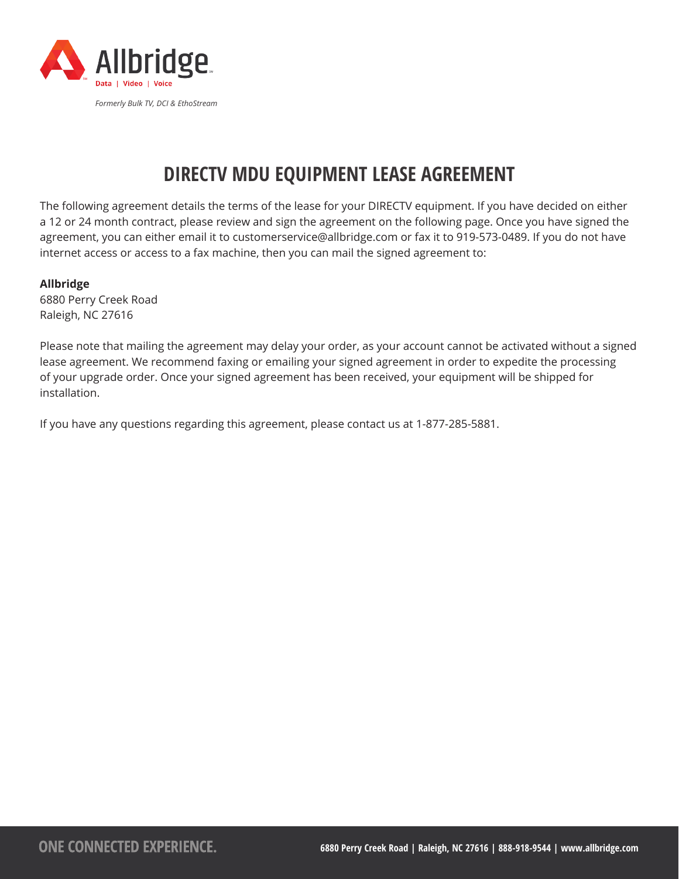

# **DIRECTV MDU EQUIPMENT LEASE AGREEMENT**

The following agreement details the terms of the lease for your DIRECTV equipment. If you have decided on either a 12 or 24 month contract, please review and sign the agreement on the following page. Once you have signed the agreement, you can either email it to customerservice@allbridge.com or fax it to 919-573-0489. If you do not have internet access or access to a fax machine, then you can mail the signed agreement to:

## **Allbridge**

6880 Perry Creek Road Raleigh, NC 27616

Please note that mailing the agreement may delay your order, as your account cannot be activated without a signed lease agreement. We recommend faxing or emailing your signed agreement in order to expedite the processing of your upgrade order. Once your signed agreement has been received, your equipment will be shipped for installation.

If you have any questions regarding this agreement, please contact us at 1-877-285-5881.